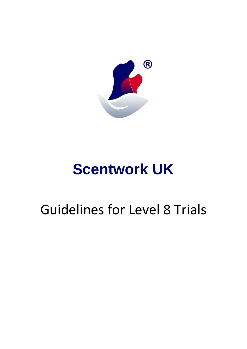

# **Scentwork UK**

# Guidelines for Level 8 Trials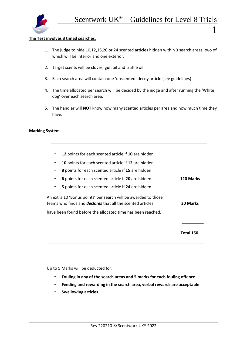

.

l,

i<br>I

#### **The Test involves 3 timed searches.**

- 1. The judge to hide 10,12,15,20 or 24 scented articles hidden within 3 search areas, two of which will be interior and one exterior.
- 2. Target scents will be cloves, gun oil and truffle oil.
- 3. Each search area will contain one 'unscented' decoy article (see guidelines)
- 4. The time allocated per search will be decided by the judge and after running the 'White dog' over each search area.
- 5. The handler will **NOT** know how many scented articles per area and how much time they have.

#### **Marking System**

| 12 points for each scented article if 10 are hidden                                                                                 |                  |
|-------------------------------------------------------------------------------------------------------------------------------------|------------------|
| 10 points for each scented article if 12 are hidden<br>$\bullet$                                                                    |                  |
| 8 points for each scented article if 15 are hidden<br>$\bullet$                                                                     |                  |
| 6 points for each scented article if 20 are hidden<br>$\bullet$                                                                     | <b>120 Marks</b> |
| 5 points for each scented article if 24 are hidden                                                                                  |                  |
| An extra 10 'Bonus points' per search will be awarded to those<br>teams who finds and <i>declares</i> that all the scented articles | <b>30 Marks</b>  |
| have been found before the allocated time has been reached.                                                                         |                  |
|                                                                                                                                     |                  |
|                                                                                                                                     | Total 150        |

Up to 5 Marks will be deducted for:

- **Fouling in any of the search areas and 5 marks for each fouling offence**
- **Feeding and rewarding in the search area, verbal rewards are acceptable**
- **Swallowing articles**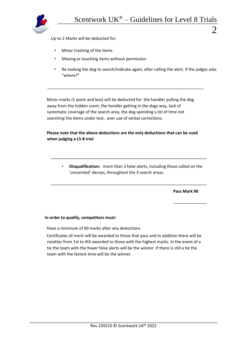

.

l,

i<br>I

Up to 2 Marks will be deducted for:

- Minor trashing of the items
- Moving or touching items without permission
- Re-tasking the dog to search/indicate again, after calling the alert, if the judges asks "where?"

Minor marks (1 point and less) will be deducted for: the handler pulling the dog away from the hidden scent, the handler getting in the dogs way, lack of systematic coverage of the search area, the dog spending a lot of time not searching the items under test, over use of verbal corrections.

## **Please note that the above deductions are the only deductions that can be used when judging a L5-8 trial**

• **Disqualification:** more than 3 false alerts, including those called on the 'unscented' decoys, throughout the 3 search areas.

**Pass Mark 90** 

#### **In order to qualify, competitors must:**

Have a minimum of 90 marks after any deductions

Certificates of merit will be awarded to those that pass and in addition there will be rosettes from 1st to 4th awarded to those with the highest marks. In the event of a tie the team with the fewer false alerts will be the winner. If there is still a tie the team with the fastest time will be the winner.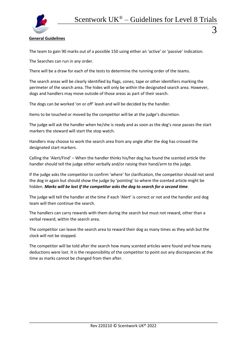

## **General Guidelines**

The team to gain 90 marks out of a possible 150 using either an 'active' or 'passive' indication.

The Searches can run in any order.

There will be a draw for each of the tests to determine the running order of the teams.

The search areas will be clearly identified by flags, cones, tape or other identifiers marking the perimeter of the search area. The hides will only be within the designated search area. However, dogs and handlers may move outside of those areas as part of their search.

The dogs can be worked 'on or off' leash and will be decided by the handler.

Items to be touched or moved by the competitor will be at the judge's discretion.

The judge will ask the handler when he/she is ready and as soon as the dog's nose passes the start markers the steward will start the stop watch.

Handlers may choose to work the search area from any angle after the dog has crossed the designated start markers.

Calling the 'Alert/Find' – When the handler thinks his/her dog has found the scented article the handler should tell the judge either verbally and/or raising their hand/arm to the judge.

If the judge asks the competitor to confirm 'where' for clarification, the competitor should not send the dog in again but should show the judge by 'pointing' to where the scented article might be hidden. *Marks will be lost if the competitor asks the dog to search for a second time.*

The judge will tell the handler at the time if each 'Alert' is correct or not and the handler and dog team will then continue the search.

The handlers can carry rewards with them during the search but must not reward, other than a verbal reward, within the search area.

The competitor can leave the search area to reward their dog as many times as they wish but the clock will not be stopped.

The competitor will be told after the search how many scented articles were found and how many deductions were lost. It is the responsibility of the competitor to point out any discrepancies at the time as marks cannot be changed from then after.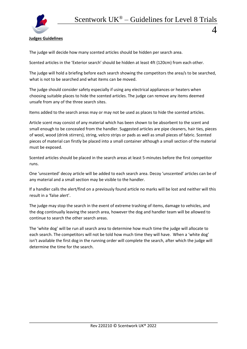

**Judges Guidelines** 

The judge will decide how many scented articles should be hidden per search area.

Scented articles in the 'Exterior search' should be hidden at least 4ft (120cm) from each other.

The judge will hold a briefing before each search showing the competitors the area/s to be searched, what is not to be searched and what items can be moved.

The judge should consider safety especially if using any electrical appliances or heaters when choosing suitable places to hide the scented articles. The judge can remove any items deemed unsafe from any of the three search sites.

Items added to the search areas may or may not be used as places to hide the scented articles.

Article scent may consist of any material which has been shown to be absorbent to the scent and small enough to be concealed from the handler. Suggested articles are pipe cleaners, hair ties, pieces of wool, wood (drink stirrers), string, velcro strips or pads as well as small pieces of fabric. Scented pieces of material can firstly be placed into a small container although a small section of the material must be exposed.

Scented articles should be placed in the search areas at least 5-minutes before the first competitor runs.

One 'unscented' decoy article will be added to each search area. Decoy 'unscented' articles can be of any material and a small section may be visible to the handler.

If a handler calls the alert/find on a previously found article no marks will be lost and neither will this result in a 'false alert'.

The judge may stop the search in the event of extreme trashing of items, damage to vehicles, and the dog continually leaving the search area, however the dog and handler team will be allowed to continue to search the other search areas.

The 'white dog' will be run all search area to determine how much time the judge will allocate to each search. The competitors will not be told how much time they will have. When a 'white dog' isn't available the first dog in the running order will complete the search, after which the judge will determine the time for the search.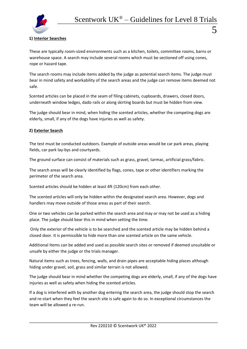## **1) Interior Searches**

These are typically room-sized environments such as a kitchen, toilets, committee rooms, barns or warehouse space. A search may include several rooms which must be sectioned off using cones, rope or hazard tape.

The search rooms may include items added by the judge as potential search items. The judge must bear in mind safety and workability of the search areas and the judge can remove items deemed not safe.

Scented articles can be placed in the seam of filing cabinets, cupboards, drawers, closed doors, underneath window ledges, dado rails or along skirting boards but must be hidden from view.

The judge should bear in mind, when hiding the scented articles, whether the competing dogs are elderly, small, if any of the dogs have injuries as well as safety.

### **2) Exterior Search**

The test must be conducted outdoors. Example of outside areas would be car park areas, playing fields, car park lay-bys and courtyards.

The ground surface can consist of materials such as grass, gravel, tarmac, artificial grass/fabric.

The search areas will be clearly identified by flags, cones, tape or other identifiers marking the perimeter of the search area.

Scented articles should be hidden at least 4ft (120cm) from each other.

The scented articles will only be hidden within the designated search area. However, dogs and handlers may move outside of those areas as part of their search.

One or two vehicles can be parked within the search area and may or may not be used as a hiding place. The judge should bear this in mind when setting the time.

Only the exterior of the vehicle is to be searched and the scented article may be hidden behind a closed door. It is permissible to hide more than one scented article on the same vehicle.

Additional Items can be added and used as possible search sites or removed if deemed unsuitable or unsafe by either the judge or the trials manager.

Natural items such as trees, fencing, walls, and drain pipes are acceptable hiding places although hiding under gravel, soil, grass and similar terrain is not allowed.

The judge should bear in mind whether the competing dogs are elderly, small, if any of the dogs have injuries as well as safety when hiding the scented articles.

If a dog is interfered with by another dog entering the search area, the judge should stop the search and re-start when they feel the search site is safe again to do so. In exceptional circumstances the team will be allowed a re-run.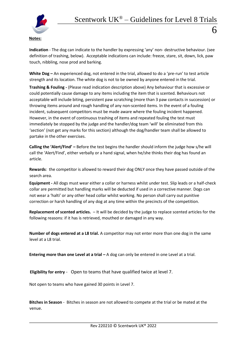

# **Indication** - The dog can indicate to the handler by expressing 'any' non- destructive behaviour. (see definition of trashing, below). Acceptable indications can include: freeze, stare, sit, down, lick, paw touch, nibbling, nose prod and barking.

**White Dog –** An experienced dog, not entered in the trial, allowed to do a 'pre-run' to test article strength and its location. The white dog is not to be owned by anyone entered in the trial.

**Trashing & Fouling** *-* (Please read indication description above) Any behaviour that is excessive or could potentially cause damage to any items including the item that is scented. Behaviours not acceptable will include biting, persistent paw scratching (more than 3 paw contacts in succession) or throwing items around and rough handling of any non-scented items. In the event of a fouling incident, subsequent competitors must be made aware where the fouling incident happened. However, in the event of continuous trashing of items and repeated fouling the test must immediately be stopped by the judge and the handler/dog team 'will' be eliminated from this 'section' (not get any marks for this section) although the dog/handler team shall be allowed to partake in the other exercises.

**Calling the 'Alert/Find' –** Before the test begins the handler should inform the judge how s/he will call the 'Alert/Find', either verbally or a hand signal, when he/she thinks their dog has found an article.

**Rewards**: the competitor is allowed to reward their dog ONLY once they have passed outside of the search area.

**Equipment -** All dogs must wear either a collar or harness whilst under test. Slip leads or a half-check collar are permitted but handling marks will be deducted if used in a corrective manner. Dogs can not wear a 'halti' or any other head collar whilst working. No person shall carry out punitive correction or harsh handling of any dog at any time within the precincts of the competition.

**Replacement of scented articles.** – It will be decided by the judge to replace scented articles for the following reasons: if it has is retrieved, mouthed or damaged in any way.

**Number of dogs entered at a L8 trial.** A competitor may not enter more than one dog in the same level at a L8 trial.

**Entering more than one Level at a trial –** A dog can only be entered in one Level at a trial.

**Eligibility for entry** - Open to teams that have qualified twice at level 7.

Not open to teams who have gained 30 points in Level 7.

**Bitches in Season** - Bitches in season are not allowed to compete at the trial or be mated at the venue.